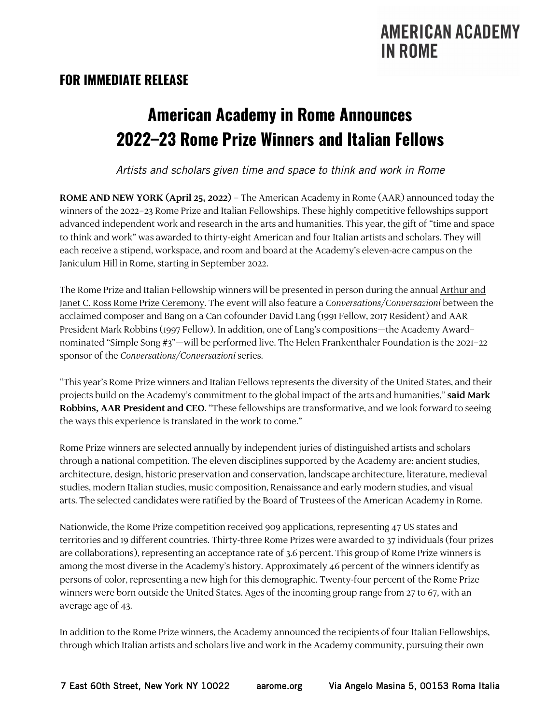# **FOR IMMEDIATE RELEASE**

# **American Academy in Rome Announces 2022–23 Rome Prize Winners and Italian Fellows**

*Artists and scholars given time and space to think and work in Rome*

**ROME AND NEW YORK (April 25, 2022)** – The American Academy in Rome (AAR) announced today the winners of the 2022–23 Rome Prize and Italian Fellowships. These highly competitive fellowships support advanced independent work and research in the arts and humanities. This year, the gift of "time and space to think and work" was awarded to thirty-eight American and four Italian artists and scholars. They will each receive a stipend, workspace, and room and board at the Academy's eleven-acre campus on the Janiculum Hill in Rome, starting in September 2022.

The Rome Prize and Italian Fellowship winners will be presented in person during the annual Arthur and Janet C. Ross Rome Prize Ceremony. The event will also feature a *Conversations/Conversazioni* between the acclaimed composer and Bang on a Can cofounder David Lang (1991 Fellow, 2017 Resident) and AAR President Mark Robbins (1997 Fellow). In addition, one of Lang's compositions—the Academy Award– nominated "Simple Song #3"—will be performed live. The Helen Frankenthaler Foundation is the 2021–22 sponsor of the *Conversations/Conversazioni* series.

"This year's Rome Prize winners and Italian Fellows represents the diversity of the United States, and their projects build on the Academy's commitment to the global impact of the arts and humanities,"**said Mark Robbins, AAR President and CEO**. "These fellowships are transformative, and we look forward to seeing the ways this experience is translated in the work to come."

Rome Prize winners are selected annually by independent juries of distinguished artists and scholars through a national competition. The eleven disciplines supported by the Academy are: ancient studies, architecture, design, historic preservation and conservation, landscape architecture, literature, medieval studies, modern Italian studies, music composition, Renaissance and early modern studies, and visual arts. The selected candidates were ratified by the Board of Trustees of the American Academy in Rome.

Nationwide, the Rome Prize competition received 909 applications, representing 47 US states and territories and 19 different countries. Thirty-three Rome Prizes were awarded to 37 individuals (four prizes are collaborations), representing an acceptance rate of 3.6 percent. This group of Rome Prize winners is among the most diverse in the Academy's history. Approximately 46 percent of the winners identify as persons of color, representing a new high for this demographic. Twenty-four percent of the Rome Prize winners were born outside the United States. Ages of the incoming group range from 27 to 67, with an average age of 43.

In addition to the Rome Prize winners, the Academy announced the recipients of four Italian Fellowships, through which Italian artists and scholars live and work in the Academy community, pursuing their own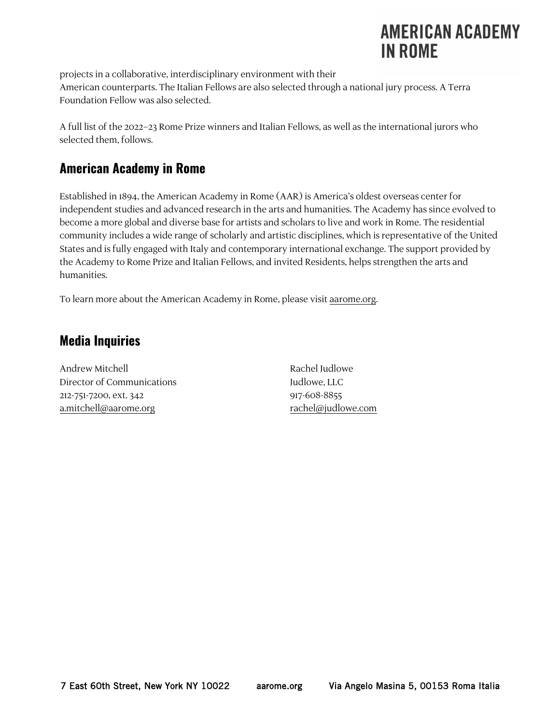projects in a collaborative, interdisciplinary environment with their American counterparts. The Italian Fellows are also selected through a national jury process. A Terra Foundation Fellow was also selected.

A full list of the 2022–23 Rome Prize winners and Italian Fellows, as well as the international jurors who selected them, follows.

# **American Academy in Rome**

Established in 1894, the American Academy in Rome (AAR) is America's oldest overseas center for independent studies and advanced research in the arts and humanities. The Academy has since evolved to become a more global and diverse base for artists and scholars to live and work in Rome. The residential community includes a wide range of scholarly and artistic disciplines, which is representative of the United States and is fully engaged with Italy and contemporary international exchange. The support provided by the Academy to Rome Prize and Italian Fellows, and invited Residents, helps strengthen the arts and humanities.

To learn more about the American Academy in Rome, please visit aarome.org.

# **Media Inquiries**

Andrew Mitchell **Andrew Mitchell Rachel Judlowe** Director of Communications Tudlowe, LLC 212-751-7200, ext. 342 917-608-8855 a.mitchell@aarome.org rachel@judlowe.com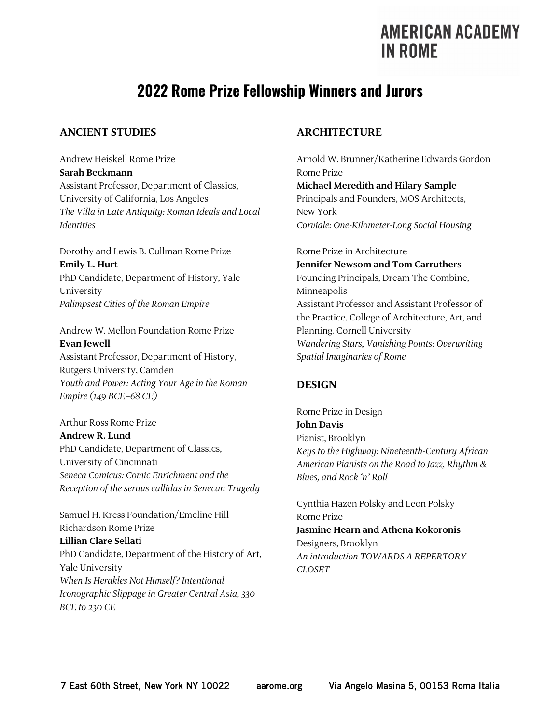# **2022 Rome Prize Fellowship Winners and Jurors**

### **ANCIENT STUDIES**

Andrew Heiskell Rome Prize **Sarah Beckmann** Assistant Professor, Department of Classics, University of California, Los Angeles *The Villa in Late Antiquity: Roman Ideals and Local Identities*

Dorothy and Lewis B. Cullman Rome Prize **Emily L. Hurt** PhD Candidate, Department of History, Yale University *Palimpsest Cities of the Roman Empire*

Andrew W. Mellon Foundation Rome Prize **Evan Jewell** Assistant Professor, Department of History, Rutgers University, Camden *Youth and Power: Acting Your Age in the Roman Empire (149 BCE–68 CE)*

Arthur Ross Rome Prize **Andrew R. Lund** PhD Candidate, Department of Classics, University of Cincinnati *Seneca Comicus: Comic Enrichment and the Reception of the seruus callidus in Senecan Tragedy*

Samuel H. Kress Foundation/Emeline Hill Richardson Rome Prize **Lillian Clare Sellati** PhD Candidate, Department of the History of Art, Yale University *When Is Herakles Not Himself? Intentional Iconographic Slippage in Greater Central Asia, 330 BCE to 230 CE*

### **ARCHITECTURE**

Arnold W. Brunner/Katherine Edwards Gordon Rome Prize **Michael Meredith and Hilary Sample** Principals and Founders, MOS Architects, New York *Corviale: One-Kilometer-Long Social Housing*

Rome Prize in Architecture **Jennifer Newsom and Tom Carruthers** Founding Principals, Dream The Combine, Minneapolis Assistant Professor and Assistant Professor of the Practice, College of Architecture, Art, and Planning, Cornell University *Wandering Stars, Vanishing Points: Overwriting Spatial Imaginaries of Rome*

# **DESIGN**

Rome Prize in Design **John Davis** Pianist, Brooklyn *Keys to the Highway: Nineteenth-Century African American Pianists on the Road to Jazz, Rhythm & Blues, and Rock 'n' Roll*

Cynthia Hazen Polsky and Leon Polsky Rome Prize **Jasmine Hearn and Athena Kokoronis** Designers, Brooklyn *An introduction TOWARDS A REPERTORY CLOSET*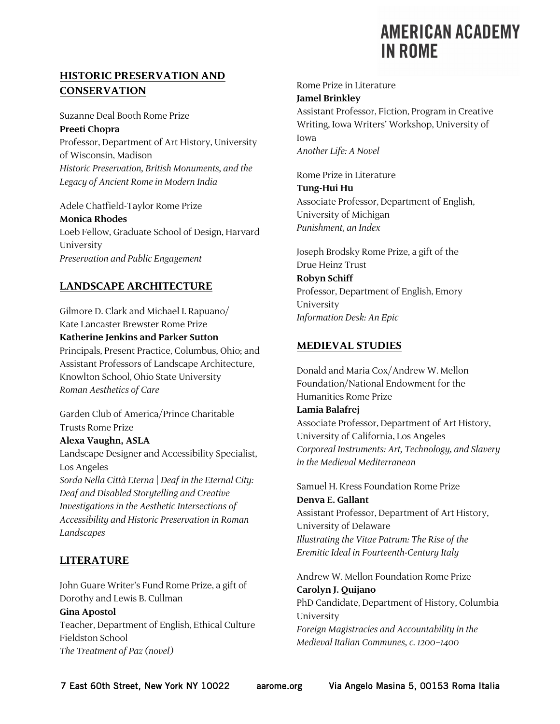# **HISTORIC PRESERVATION AND CONSERVATION**

Suzanne Deal Booth Rome Prize **Preeti Chopra** Professor, Department of Art History, University of Wisconsin, Madison *Historic Preservation, British Monuments, and the Legacy of Ancient Rome in Modern India*

Adele Chatfield-Taylor Rome Prize **Monica Rhodes** Loeb Fellow, Graduate School of Design, Harvard University *Preservation and Public Engagement*

# **LANDSCAPE ARCHITECTURE**

Gilmore D. Clark and Michael I. Rapuano/ Kate Lancaster Brewster Rome Prize **Katherine Jenkins and Parker Sutton** Principals, Present Practice, Columbus, Ohio; and Assistant Professors of Landscape Architecture, Knowlton School, Ohio State University *Roman Aesthetics of Care*

Garden Club of America/Prince Charitable Trusts Rome Prize **Alexa Vaughn, ASLA**

Landscape Designer and Accessibility Specialist, Los Angeles *Sorda Nella Città Eterna | Deaf in the Eternal City: Deaf and Disabled Storytelling and Creative* 

*Investigations in the Aesthetic Intersections of Accessibility and Historic Preservation in Roman Landscapes*

# **LITERATURE**

John Guare Writer's Fund Rome Prize, a gift of Dorothy and Lewis B. Cullman **Gina Apostol** Teacher, Department of English, Ethical Culture Fieldston School *The Treatment of Paz (novel)*

Rome Prize in Literature **Jamel Brinkley** Assistant Professor, Fiction, Program in Creative Writing, Iowa Writers' Workshop, University of Iowa *Another Life: A Novel*

Rome Prize in Literature **Tung-Hui Hu** Associate Professor, Department of English, University of Michigan *Punishment, an Index*

Joseph Brodsky Rome Prize, a gift of the Drue Heinz Trust **Robyn Schiff** Professor, Department of English, Emory University *Information Desk: An Epic*

### **MEDIEVAL STUDIES**

Donald and Maria Cox/Andrew W. Mellon Foundation/National Endowment for the Humanities Rome Prize

### **Lamia Balafrej**

Associate Professor, Department of Art History, University of California, Los Angeles *Corporeal Instruments: Art, Technology, and Slavery in the Medieval Mediterranean*

Samuel H. Kress Foundation Rome Prize **Denva E. Gallant** Assistant Professor, Department of Art History, University of Delaware *Illustrating the Vitae Patrum: The Rise of the Eremitic Ideal in Fourteenth-Century Italy* 

Andrew W. Mellon Foundation Rome Prize **Carolyn J. Quijano** PhD Candidate, Department of History, Columbia University *Foreign Magistracies and Accountability in the Medieval Italian Communes, c. 1200–1400*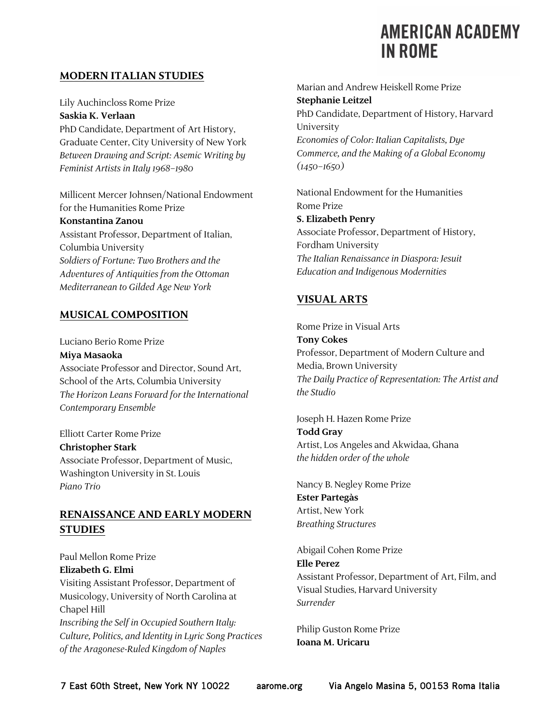### **MODERN ITALIAN STUDIES**

Lily Auchincloss Rome Prize **Saskia K. Verlaan** PhD Candidate, Department of Art History, Graduate Center, City University of New York *Between Drawing and Script: Asemic Writing by Feminist Artists in Italy 1968–1980*

Millicent Mercer Johnsen/National Endowment for the Humanities Rome Prize

## **Konstantina Zanou**

Assistant Professor, Department of Italian, Columbia University *Soldiers of Fortune: Two Brothers and the Adventures of Antiquities from the Ottoman Mediterranean to Gilded Age New York*

### **MUSICAL COMPOSITION**

Luciano Berio Rome Prize **Miya Masaoka** Associate Professor and Director, Sound Art, School of the Arts, Columbia University *The Horizon Leans Forward for the International Contemporary Ensemble*

Elliott Carter Rome Prize **Christopher Stark** Associate Professor, Department of Music, Washington University in St. Louis

*Piano Trio*

## **RENAISSANCE AND EARLY MODERN STUDIES**

Paul Mellon Rome Prize **Elizabeth G. Elmi** Visiting Assistant Professor, Department of Musicology, University of North Carolina at Chapel Hill *Inscribing the Self in Occupied Southern Italy: Culture, Politics, and Identity in Lyric Song Practices of the Aragonese-Ruled Kingdom of Naples*

Marian and Andrew Heiskell Rome Prize **Stephanie Leitzel** PhD Candidate, Department of History, Harvard University *Economies of Color: Italian Capitalists, Dye Commerce, and the Making of a Global Economy (1450–1650)*

National Endowment for the Humanities Rome Prize **S. Elizabeth Penry** Associate Professor, Department of History, Fordham University *The Italian Renaissance in Diaspora: Jesuit Education and Indigenous Modernities*

# **VISUAL ARTS**

Rome Prize in Visual Arts **Tony Cokes** Professor, Department of Modern Culture and Media, Brown University *The Daily Practice of Representation: The Artist and the Studio*

Joseph H. Hazen Rome Prize **Todd Gray** Artist, Los Angeles and Akwidaa, Ghana *the hidden order of the whole*

Nancy B. Negley Rome Prize **Ester Partegàs** Artist, New York *Breathing Structures*

Abigail Cohen Rome Prize **Elle Perez** Assistant Professor, Department of Art, Film, and Visual Studies, Harvard University *Surrender*

Philip Guston Rome Prize **Ioana M. Uricaru**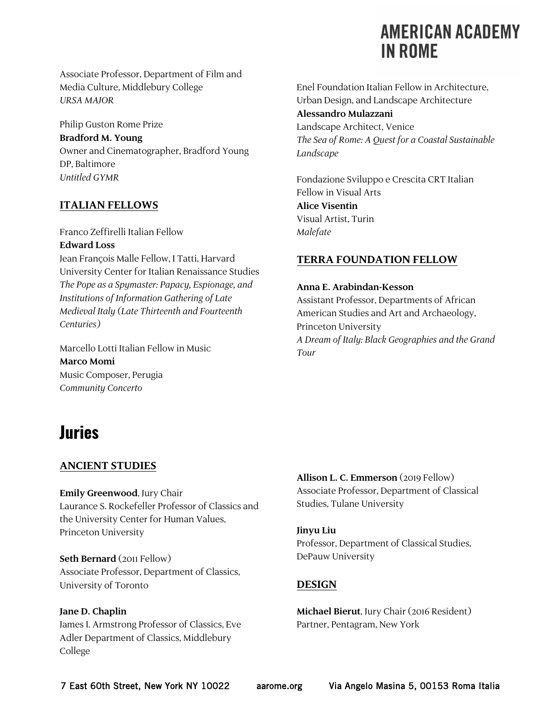Associate Professor, Department of Film and Media Culture, Middlebury College *URSA MAJOR*

Philip Guston Rome Prize **Bradford M. Young** Owner and Cinematographer, Bradford Young DP, Baltimore *Untitled GYMR*

# **ITALIAN FELLOWS**

Franco Zeffirelli Italian Fellow **Edward Loss**

Jean François Malle Fellow, I Tatti, Harvard University Center for Italian Renaissance Studies *The Pope as a Spymaster: Papacy, Espionage, and Institutions of Information Gathering of Late Medieval Italy (Late Thirteenth and Fourteenth Centuries)*

Marcello Lotti Italian Fellow in Music **Marco Momi** Music Composer, Perugia *Community Concerto*

### Enel Foundation Italian Fellow in Architecture, Urban Design, and Landscape Architecture **Alessandro Mulazzani** Landscape Architect, Venice *The Sea of Rome: A Quest for a Coastal Sustainable Landscape*

Fondazione Sviluppo e Crescita CRT Italian Fellow in Visual Arts **Alice Visentin** Visual Artist, Turin *Malefate*

# **TERRA FOUNDATION FELLOW**

### **Anna E. Arabindan-Kesson**

Assistant Professor, Departments of African American Studies and Art and Archaeology, Princeton University *A Dream of Italy: Black Geographies and the Grand Tour*

# **Juries**

# **ANCIENT STUDIES**

**Emily Greenwood**, Jury Chair Laurance S. Rockefeller Professor of Classics and the University Center for Human Values, Princeton University

**Seth Bernard** (2011 Fellow) Associate Professor, Department of Classics, University of Toronto

### **Jane D. Chaplin**

James I. Armstrong Professor of Classics, Eve Adler Department of Classics, Middlebury College

**Allison L. C. Emmerson** (2019 Fellow) Associate Professor, Department of Classical Studies, Tulane University

### **Jinyu Liu**

Professor, Department of Classical Studies, DePauw University

# **DESIGN**

**Michael Bierut**, Jury Chair (2016 Resident) Partner, Pentagram, New York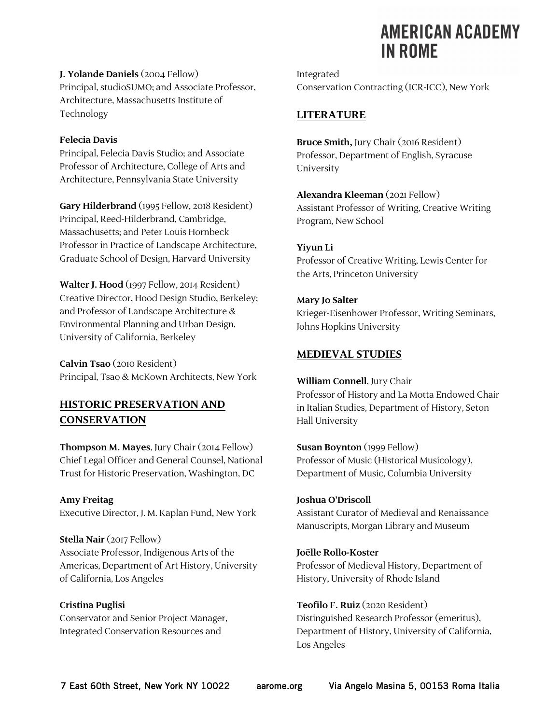**J. Yolande Daniels**(2004 Fellow) Principal, studioSUMO; and Associate Professor, Architecture, Massachusetts Institute of Technology

#### **Felecia Davis**

Principal, Felecia Davis Studio; and Associate Professor of Architecture, College of Arts and Architecture, Pennsylvania State University

**Gary Hilderbrand** (1995 Fellow, 2018 Resident) Principal, Reed-Hilderbrand, Cambridge, Massachusetts; and Peter Louis Hornbeck Professor in Practice of Landscape Architecture, Graduate School of Design, Harvard University

**Walter J. Hood** (1997 Fellow, 2014 Resident) Creative Director, Hood Design Studio, Berkeley; and Professor of Landscape Architecture & Environmental Planning and Urban Design, University of California, Berkeley

**Calvin Tsao** (2010 Resident) Principal, Tsao & McKown Architects, New York

# **HISTORIC PRESERVATION AND CONSERVATION**

**Thompson M. Mayes**, Jury Chair (2014 Fellow) Chief Legal Officer and General Counsel, National Trust for Historic Preservation, Washington, DC

**Amy Freitag** Executive Director, J. M. Kaplan Fund, New York

**Stella Nair** (2017 Fellow) Associate Professor, Indigenous Arts of the Americas, Department of Art History, University of California, Los Angeles

**Cristina Puglisi** Conservator and Senior Project Manager, Integrated Conservation Resources and

Integrated Conservation Contracting (ICR-ICC), New York

# **LITERATURE**

**Bruce Smith,** Jury Chair (2016 Resident) Professor, Department of English, Syracuse University

**Alexandra Kleeman** (2021 Fellow) Assistant Professor of Writing, Creative Writing Program, New School

### **Yiyun Li**

Professor of Creative Writing, Lewis Center for the Arts, Princeton University

### **Mary Jo Salter**

Krieger-Eisenhower Professor, Writing Seminars, Johns Hopkins University

### **MEDIEVAL STUDIES**

### **William Connell**, Jury Chair

Professor of History and La Motta Endowed Chair in Italian Studies, Department of History, Seton Hall University

#### **Susan Boynton** (1999 Fellow)

Professor of Music (Historical Musicology), Department of Music, Columbia University

### **Joshua O'Driscoll**

Assistant Curator of Medieval and Renaissance Manuscripts, Morgan Library and Museum

### **Joëlle Rollo-Koster**

Professor of Medieval History, Department of History, University of Rhode Island

**Teofilo F. Ruiz** (2020 Resident)

Distinguished Research Professor (emeritus), Department of History, University of California, Los Angeles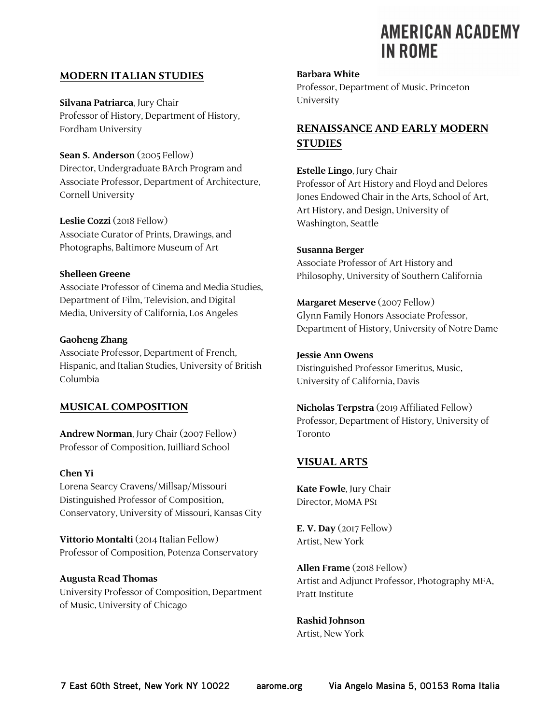### **MODERN ITALIAN STUDIES**

**Silvana Patriarca**, Jury Chair Professor of History, Department of History, Fordham University

**Sean S. Anderson** (2005 Fellow) Director, Undergraduate BArch Program and Associate Professor, Department of Architecture, Cornell University

**Leslie Cozzi** (2018 Fellow) Associate Curator of Prints, Drawings, and Photographs, Baltimore Museum of Art

#### **Shelleen Greene**

Associate Professor of Cinema and Media Studies, Department of Film, Television, and Digital Media, University of California, Los Angeles

#### **Gaoheng Zhang**

Associate Professor, Department of French, Hispanic, and Italian Studies, University of British Columbia

### **MUSICAL COMPOSITION**

**Andrew Norman**, Jury Chair (2007 Fellow) Professor of Composition, Juilliard School

#### **Chen Yi**

Lorena Searcy Cravens/Millsap/Missouri Distinguished Professor of Composition, Conservatory, University of Missouri, Kansas City

**Vittorio Montalti** (2014 Italian Fellow) Professor of Composition, Potenza Conservatory

### **Augusta Read Thomas**

University Professor of Composition, Department of Music, University of Chicago

#### **Barbara White**

Professor, Department of Music, Princeton University

# **RENAISSANCE AND EARLY MODERN STUDIES**

**Estelle Lingo**, Jury Chair Professor of Art History and Floyd and Delores Jones Endowed Chair in the Arts, School of Art, Art History, and Design, University of Washington, Seattle

#### **Susanna Berger**

Associate Professor of Art History and Philosophy, University of Southern California

### **Margaret Meserve** (2007 Fellow)

Glynn Family Honors Associate Professor, Department of History, University of Notre Dame

#### **Jessie Ann Owens**

Distinguished Professor Emeritus, Music, University of California, Davis

**Nicholas Terpstra** (2019 Affiliated Fellow) Professor, Department of History, University of Toronto

### **VISUAL ARTS**

**Kate Fowle**, Jury Chair Director, MoMA PS1

**E. V. Day** (2017 Fellow) Artist, New York

**Allen Frame** (2018 Fellow) Artist and Adjunct Professor, Photography MFA, Pratt Institute

**Rashid Johnson** Artist, New York